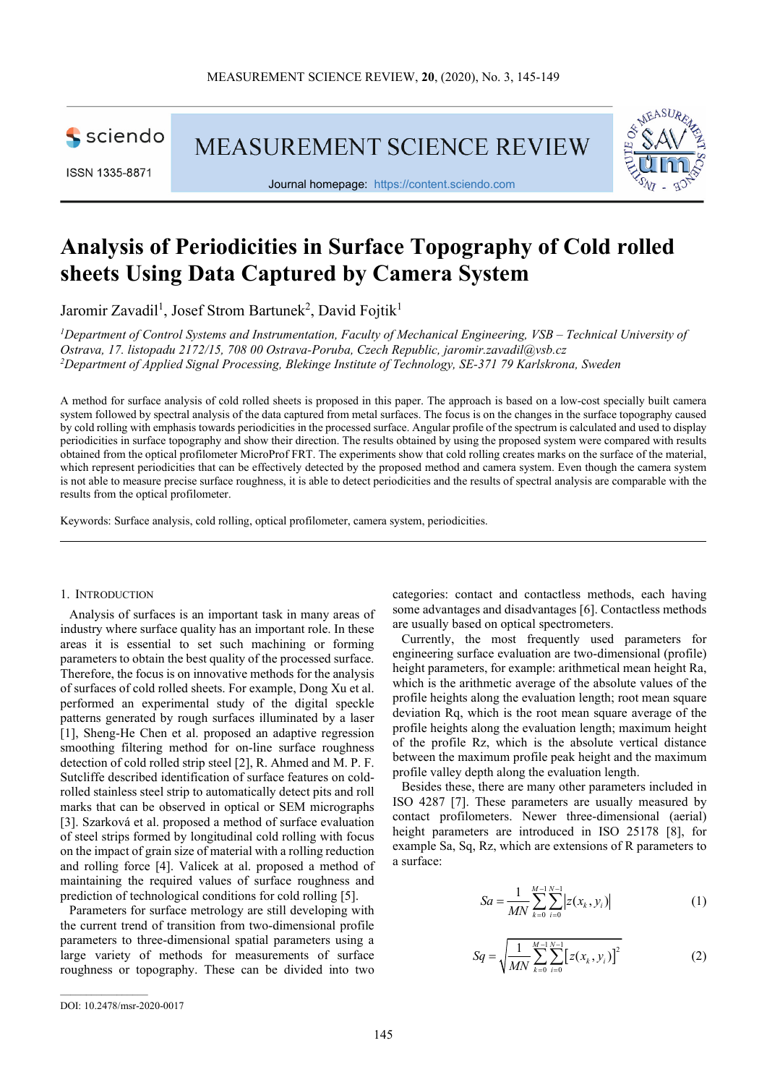sciendo

ISSN 1335-8871

**MEASUREMENT SCIENCE REVIEW** 



Journal homepage: https://content.sciendo.com

# **Analysis of Periodicities in Surface Topography of Cold rolled sheets Using Data Captured by Camera System**

Jaromir Zavadil<sup>1</sup>, Josef Strom Bartunek<sup>2</sup>, David Fojtik<sup>1</sup>

*<sup>1</sup>Department of Control Systems and Instrumentation, Faculty of Mechanical Engineering, VSB – Technical University of Ostrava, 17. listopadu 2172/15, 708 00 Ostrava-Poruba, Czech Republic, jaromir.zavadil@vsb.cz <sup>2</sup>Department of Applied Signal Processing, Blekinge Institute of Technology, SE-371 79 Karlskrona, Sweden* 

A method for surface analysis of cold rolled sheets is proposed in this paper. The approach is based on a low-cost specially built camera system followed by spectral analysis of the data captured from metal surfaces. The focus is on the changes in the surface topography caused by cold rolling with emphasis towards periodicities in the processed surface. Angular profile of the spectrum is calculated and used to display periodicities in surface topography and show their direction. The results obtained by using the proposed system were compared with results obtained from the optical profilometer MicroProf FRT. The experiments show that cold rolling creates marks on the surface of the material, which represent periodicities that can be effectively detected by the proposed method and camera system. Even though the camera system is not able to measure precise surface roughness, it is able to detect periodicities and the results of spectral analysis are comparable with the results from the optical profilometer.

Keywords: Surface analysis, cold rolling, optical profilometer, camera system, periodicities.

#### 1. INTRODUCTION

Analysis of surfaces is an important task in many areas of industry where surface quality has an important role. In these areas it is essential to set such machining or forming parameters to obtain the best quality of the processed surface. Therefore, the focus is on innovative methods for the analysis of surfaces of cold rolled sheets. For example, Dong Xu et al. performed an experimental study of the digital speckle patterns generated by rough surfaces illuminated by a laser [1], Sheng-He Chen et al. proposed an adaptive regression smoothing filtering method for on-line surface roughness detection of cold rolled strip steel [2], R. Ahmed and M. P. F. Sutcliffe described identification of surface features on coldrolled stainless steel strip to automatically detect pits and roll marks that can be observed in optical or SEM micrographs [3]. Szarková et al. proposed a method of surface evaluation of steel strips formed by longitudinal cold rolling with focus on the impact of grain size of material with a rolling reduction and rolling force [4]. Valicek at al. proposed a method of maintaining the required values of surface roughness and prediction of technological conditions for cold rolling [5].

Parameters for surface metrology are still developing with the current trend of transition from two-dimensional profile parameters to three-dimensional spatial parameters using a large variety of methods for measurements of surface roughness or topography. These can be divided into two

categories: contact and contactless methods, each having some advantages and disadvantages [6]. Contactless methods are usually based on optical spectrometers.

Currently, the most frequently used parameters for engineering surface evaluation are two-dimensional (profile) height parameters, for example: arithmetical mean height Ra, which is the arithmetic average of the absolute values of the profile heights along the evaluation length; root mean square deviation Rq, which is the root mean square average of the profile heights along the evaluation length; maximum height of the profile Rz, which is the absolute vertical distance between the maximum profile peak height and the maximum profile valley depth along the evaluation length.

Besides these, there are many other parameters included in ISO 4287 [7]. These parameters are usually measured by contact profilometers. Newer three-dimensional (aerial) height parameters are introduced in ISO 25178 [8], for example Sa, Sq, Rz, which are extensions of R parameters to a surface:

$$
Sa = \frac{1}{MN} \sum_{k=0}^{M-1} \sum_{i=0}^{N-1} |z(x_k, y_i)|
$$
 (1)

$$
Sq = \sqrt{\frac{1}{MN} \sum_{k=0}^{M-1} \sum_{i=0}^{N-1} \left[ z(x_k, y_i) \right]^2}
$$
 (2)

DOI: 10.2478/msr-2020-0017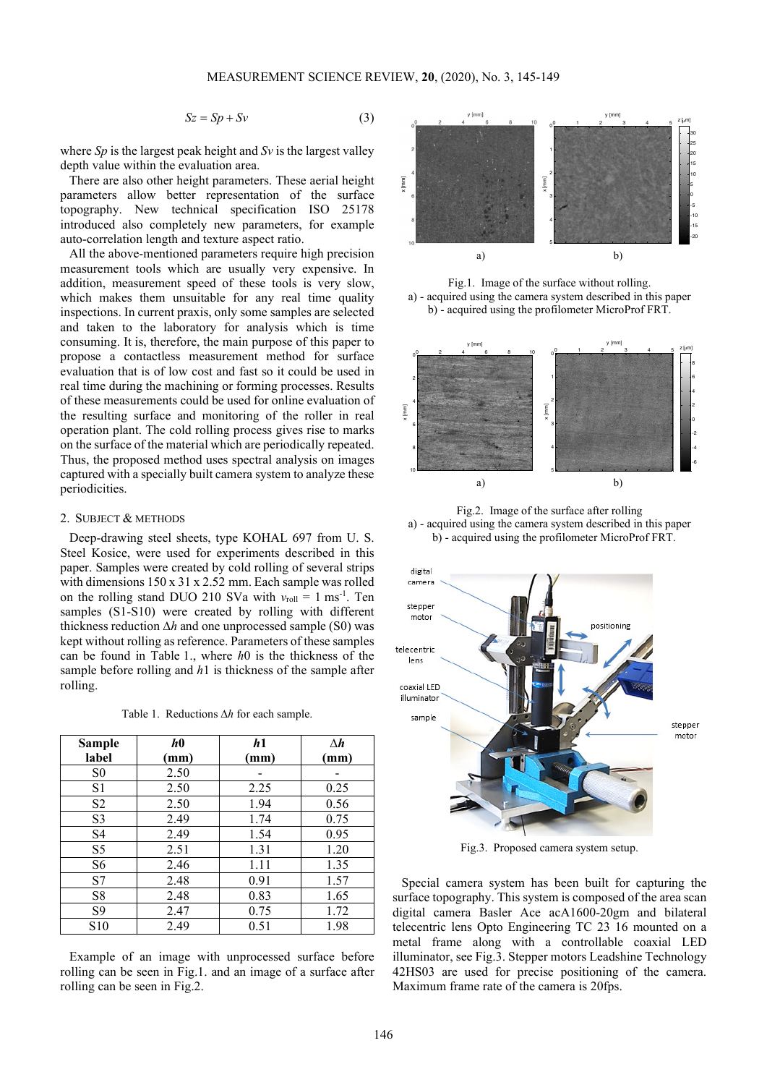$$
Sz = Sp + Sv \tag{3}
$$

where *Sp* is the largest peak height and *Sv* is the largest valley depth value within the evaluation area.

There are also other height parameters. These aerial height parameters allow better representation of the surface topography. New technical specification ISO 25178 introduced also completely new parameters, for example auto-correlation length and texture aspect ratio.

All the above-mentioned parameters require high precision measurement tools which are usually very expensive. In addition, measurement speed of these tools is very slow, which makes them unsuitable for any real time quality inspections. In current praxis, only some samples are selected and taken to the laboratory for analysis which is time consuming. It is, therefore, the main purpose of this paper to propose a contactless measurement method for surface evaluation that is of low cost and fast so it could be used in real time during the machining or forming processes. Results of these measurements could be used for online evaluation of the resulting surface and monitoring of the roller in real operation plant. The cold rolling process gives rise to marks on the surface of the material which are periodically repeated. Thus, the proposed method uses spectral analysis on images captured with a specially built camera system to analyze these periodicities.

#### 2. SUBJECT & METHODS

Deep-drawing steel sheets, type KOHAL 697 from U. S. Steel Kosice, were used for experiments described in this paper. Samples were created by cold rolling of several strips with dimensions  $150 \times 31 \times 2.52$  mm. Each sample was rolled on the rolling stand DUO 210 SVa with  $v_{roll} = 1$  ms<sup>-1</sup>. Ten samples (S1-S10) were created by rolling with different thickness reduction ∆*h* and one unprocessed sample (S0) was kept without rolling as reference. Parameters of these samples can be found in Table 1., where *h*0 is the thickness of the sample before rolling and *h*1 is thickness of the sample after rolling.

Table 1. Reductions ∆*h* for each sample.

| <b>Sample</b>   | h <sub>0</sub> | h1   | $\Lambda h$ |
|-----------------|----------------|------|-------------|
| label           | (mm)           | (mm) | (mm)        |
| S <sub>0</sub>  | 2.50           |      |             |
| S1              | 2.50           | 2.25 | 0.25        |
| S2              | 2.50           | 1.94 | 0.56        |
| S <sub>3</sub>  | 2.49           | 1.74 | 0.75        |
| S4              | 2.49           | 1.54 | 0.95        |
| S5              | 2.51           | 1.31 | 1.20        |
| S6              | 2.46           | 1.11 | 1.35        |
| S7              | 2.48           | 0.91 | 1.57        |
| S8              | 2.48           | 0.83 | 1.65        |
| S9              | 2.47           | 0.75 | 1.72        |
| S <sub>10</sub> | 2.49           | 0.51 | 1.98        |

Example of an image with unprocessed surface before rolling can be seen in Fig.1. and an image of a surface after rolling can be seen in Fig.2.



Fig.1. Image of the surface without rolling. a) - acquired using the camera system described in this paper b) - acquired using the profilometer MicroProf FRT.



Fig.2. Image of the surface after rolling a) - acquired using the camera system described in this paper b) - acquired using the profilometer MicroProf FRT.



Fig.3. Proposed camera system setup.

Special camera system has been built for capturing the surface topography. This system is composed of the area scan digital camera Basler Ace acA1600-20gm and bilateral telecentric lens Opto Engineering TC 23 16 mounted on a metal frame along with a controllable coaxial LED illuminator, see Fig.3. Stepper motors Leadshine Technology 42HS03 are used for precise positioning of the camera. Maximum frame rate of the camera is 20fps.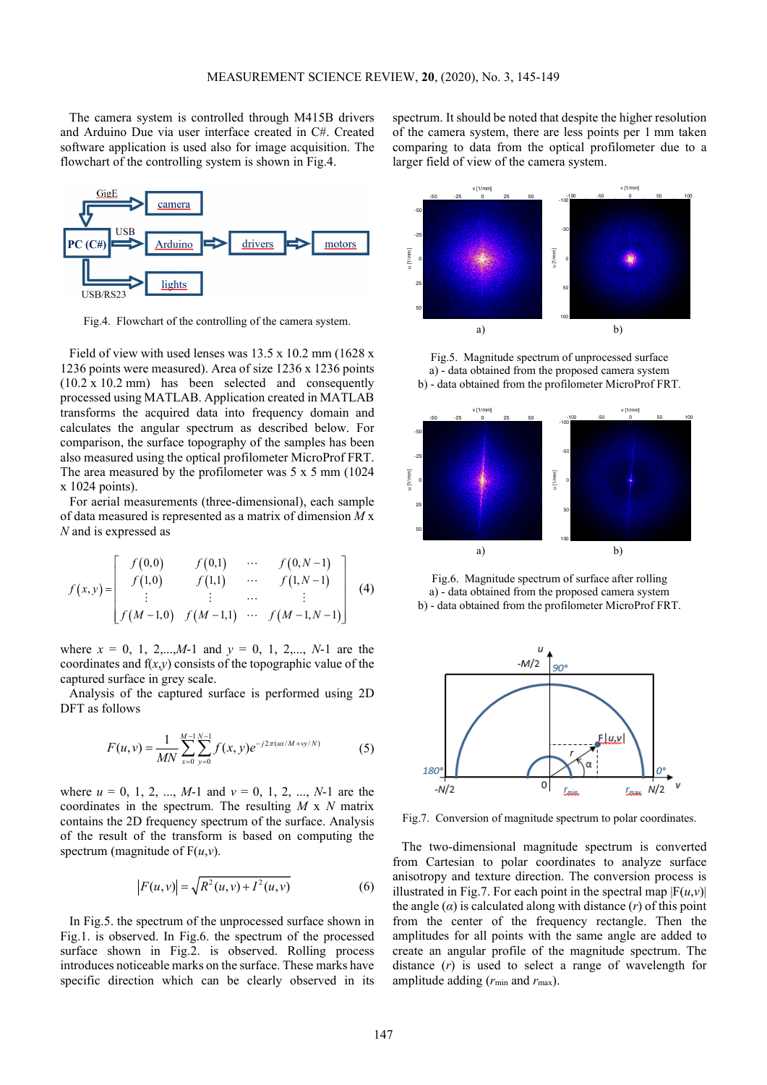The camera system is controlled through M415B drivers and Arduino Due via user interface created in C#. Created software application is used also for image acquisition. The flowchart of the controlling system is shown in Fig.4.



Fig.4. Flowchart of the controlling of the camera system.

Field of view with used lenses was 13.5 x 10.2 mm (1628 x 1236 points were measured). Area of size 1236 x 1236 points (10.2 x 10.2 mm) has been selected and consequently processed using MATLAB. Application created in MATLAB transforms the acquired data into frequency domain and calculates the angular spectrum as described below. For comparison, the surface topography of the samples has been also measured using the optical profilometer MicroProf FRT. The area measured by the profilometer was 5 x 5 mm (1024 x 1024 points).

For aerial measurements (three-dimensional), each sample of data measured is represented as a matrix of dimension *M* x *N* and is expressed as

$$
f(x,y) = \begin{bmatrix} f(0,0) & f(0,1) & \cdots & f(0,N-1) \\ f(1,0) & f(1,1) & \cdots & f(1,N-1) \\ \vdots & \vdots & \cdots & \vdots \\ f(M-1,0) & f(M-1,1) & \cdots & f(M-1,N-1) \end{bmatrix}
$$
 (4)

where  $x = 0, 1, 2,...,M-1$  and  $y = 0, 1, 2,..., N-1$  are the coordinates and  $f(x,y)$  consists of the topographic value of the captured surface in grey scale.

Analysis of the captured surface is performed using 2D DFT as follows

$$
F(u, v) = \frac{1}{MN} \sum_{x=0}^{M-1} \sum_{y=0}^{N-1} f(x, y) e^{-j2\pi (ux/M + vy/N)}
$$
(5)

where  $u = 0, 1, 2, ..., M-1$  and  $v = 0, 1, 2, ..., N-1$  are the coordinates in the spectrum. The resulting *M* x *N* matrix contains the 2D frequency spectrum of the surface. Analysis of the result of the transform is based on computing the spectrum (magnitude of  $F(u,v)$ ).

$$
|F(u, v)| = \sqrt{R^2(u, v) + I^2(u, v)}
$$
 (6)

In Fig.5. the spectrum of the unprocessed surface shown in Fig.1. is observed. In Fig.6. the spectrum of the processed surface shown in Fig.2. is observed. Rolling process introduces noticeable marks on the surface. These marks have specific direction which can be clearly observed in its spectrum. It should be noted that despite the higher resolution of the camera system, there are less points per 1 mm taken comparing to data from the optical profilometer due to a larger field of view of the camera system.



Fig.5. Magnitude spectrum of unprocessed surface a) - data obtained from the proposed camera system b) - data obtained from the profilometer MicroProf FRT.



Fig.6. Magnitude spectrum of surface after rolling a) - data obtained from the proposed camera system b) - data obtained from the profilometer MicroProf FRT.



Fig.7. Conversion of magnitude spectrum to polar coordinates.

The two-dimensional magnitude spectrum is converted from Cartesian to polar coordinates to analyze surface anisotropy and texture direction. The conversion process is illustrated in Fig.7. For each point in the spectral map  $|F(u,v)|$ the angle  $(a)$  is calculated along with distance  $(r)$  of this point from the center of the frequency rectangle. Then the amplitudes for all points with the same angle are added to create an angular profile of the magnitude spectrum. The distance (*r*) is used to select a range of wavelength for amplitude adding  $(r_{\min}$  and  $r_{\max})$ .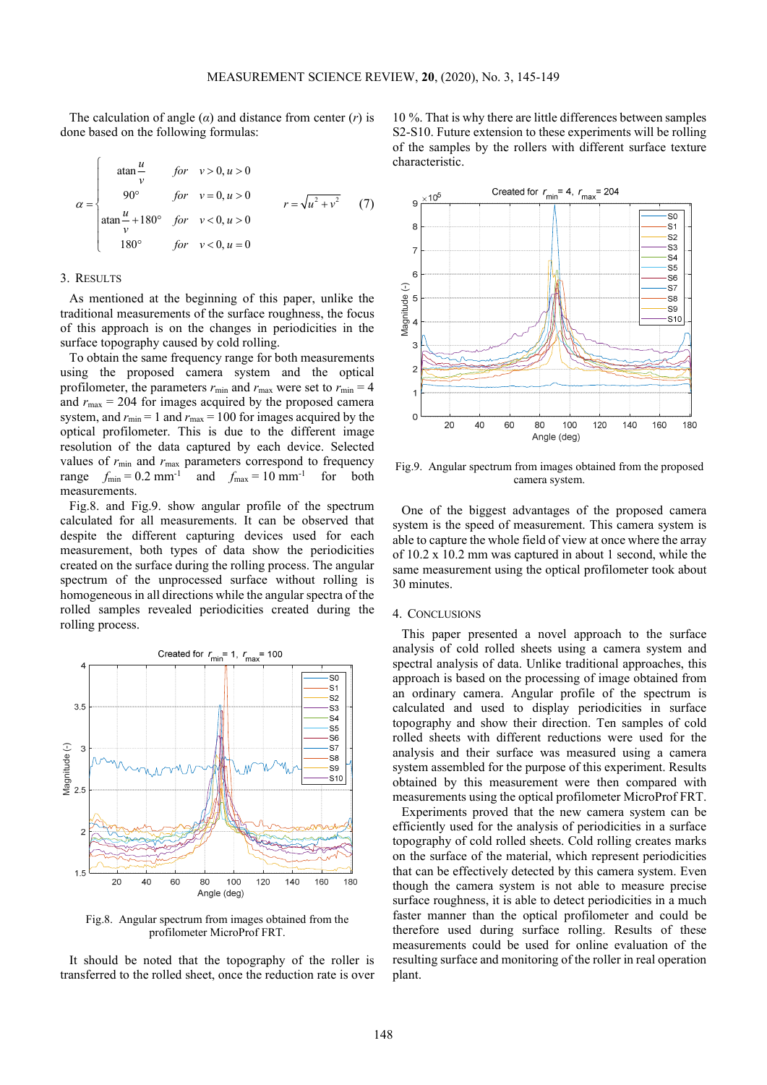The calculation of angle  $(\alpha)$  and distance from center  $(r)$  is done based on the following formulas:

$$
\alpha = \begin{cases}\n\text{atan} \frac{u}{v} & \text{for } v > 0, u > 0 \\
90^{\circ} & \text{for } v = 0, u > 0 \\
\text{atan} \frac{u}{v} + 180^{\circ} & \text{for } v < 0, u > 0 \\
180^{\circ} & \text{for } v < 0, u = 0\n\end{cases}
$$
\n(7)

### 3. RESULTS

As mentioned at the beginning of this paper, unlike the traditional measurements of the surface roughness, the focus of this approach is on the changes in periodicities in the surface topography caused by cold rolling.

To obtain the same frequency range for both measurements using the proposed camera system and the optical profilometer, the parameters  $r_{\text{min}}$  and  $r_{\text{max}}$  were set to  $r_{\text{min}} = 4$ and  $r_{\text{max}} = 204$  for images acquired by the proposed camera system, and  $r_{min} = 1$  and  $r_{max} = 100$  for images acquired by the optical profilometer. This is due to the different image resolution of the data captured by each device. Selected values of  $r_{\text{min}}$  and  $r_{\text{max}}$  parameters correspond to frequency range  $f_{\text{min}} = 0.2 \text{ mm}^{-1}$  and  $f_{\text{max}} = 10 \text{ mm}^{-1}$  for both measurements.

Fig.8. and Fig.9. show angular profile of the spectrum calculated for all measurements. It can be observed that despite the different capturing devices used for each measurement, both types of data show the periodicities created on the surface during the rolling process. The angular spectrum of the unprocessed surface without rolling is homogeneous in all directions while the angular spectra of the rolled samples revealed periodicities created during the rolling process.



Fig.8. Angular spectrum from images obtained from the profilometer MicroProf FRT.

It should be noted that the topography of the roller is transferred to the rolled sheet, once the reduction rate is over

10 %. That is why there are little differences between samples S2-S10. Future extension to these experiments will be rolling of the samples by the rollers with different surface texture characteristic.



Fig.9. Angular spectrum from images obtained from the proposed camera system.

One of the biggest advantages of the proposed camera system is the speed of measurement. This camera system is able to capture the whole field of view at once where the array of 10.2 x 10.2 mm was captured in about 1 second, while the same measurement using the optical profilometer took about 30 minutes.

#### 4. CONCLUSIONS

This paper presented a novel approach to the surface analysis of cold rolled sheets using a camera system and spectral analysis of data. Unlike traditional approaches, this approach is based on the processing of image obtained from an ordinary camera. Angular profile of the spectrum is calculated and used to display periodicities in surface topography and show their direction. Ten samples of cold rolled sheets with different reductions were used for the analysis and their surface was measured using a camera system assembled for the purpose of this experiment. Results obtained by this measurement were then compared with measurements using the optical profilometer MicroProf FRT.

Experiments proved that the new camera system can be efficiently used for the analysis of periodicities in a surface topography of cold rolled sheets. Cold rolling creates marks on the surface of the material, which represent periodicities that can be effectively detected by this camera system. Even though the camera system is not able to measure precise surface roughness, it is able to detect periodicities in a much faster manner than the optical profilometer and could be therefore used during surface rolling. Results of these measurements could be used for online evaluation of the resulting surface and monitoring of the roller in real operation plant.